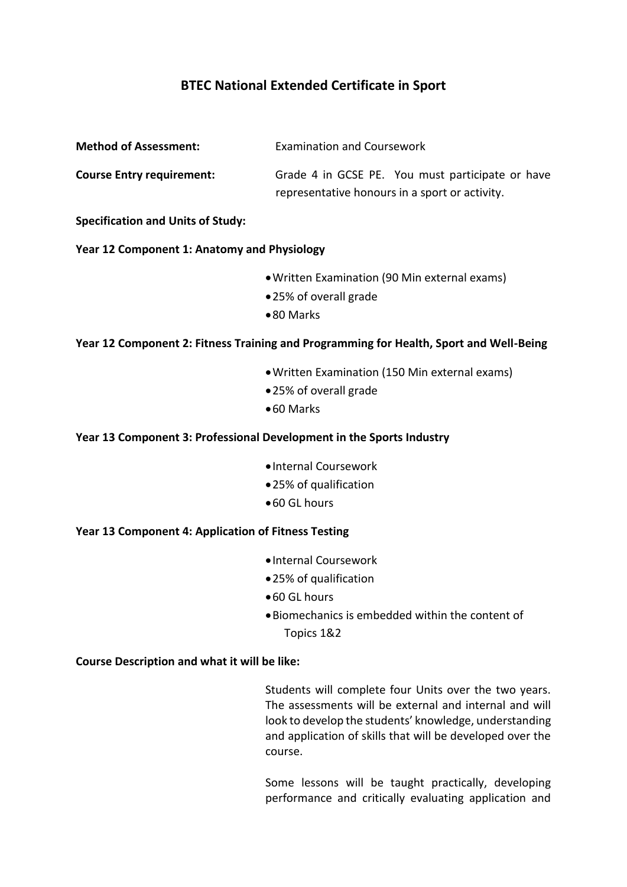## **BTEC National Extended Certificate in Sport**

| <b>Examination and Coursework</b>                                                                  |  |  |
|----------------------------------------------------------------------------------------------------|--|--|
| Grade 4 in GCSE PE. You must participate or have<br>representative honours in a sport or activity. |  |  |
|                                                                                                    |  |  |
| Year 12 Component 1: Anatomy and Physiology                                                        |  |  |
| • Written Examination (90 Min external exams)<br>•25% of overall grade<br>•80 Marks                |  |  |
| Year 12 Component 2: Fitness Training and Programming for Health, Sport and Well-Being             |  |  |
| · Written Examination (150 Min external exams)<br>•25% of overall grade<br>● 60 Marks              |  |  |
| Year 13 Component 3: Professional Development in the Sports Industry                               |  |  |
| · Internal Coursework<br>•25% of qualification<br>● 60 GL hours                                    |  |  |
| Year 13 Component 4: Application of Fitness Testing                                                |  |  |
| · Internal Coursework<br>•25% of qualification<br>•60 GL hours                                     |  |  |
|                                                                                                    |  |  |

Biomechanics is embedded within the content of Topics 1&2

## **Course Description and what it will be like:**

Students will complete four Units over the two years. The assessments will be external and internal and will look to develop the students' knowledge, understanding and application of skills that will be developed over the course.

Some lessons will be taught practically, developing performance and critically evaluating application and